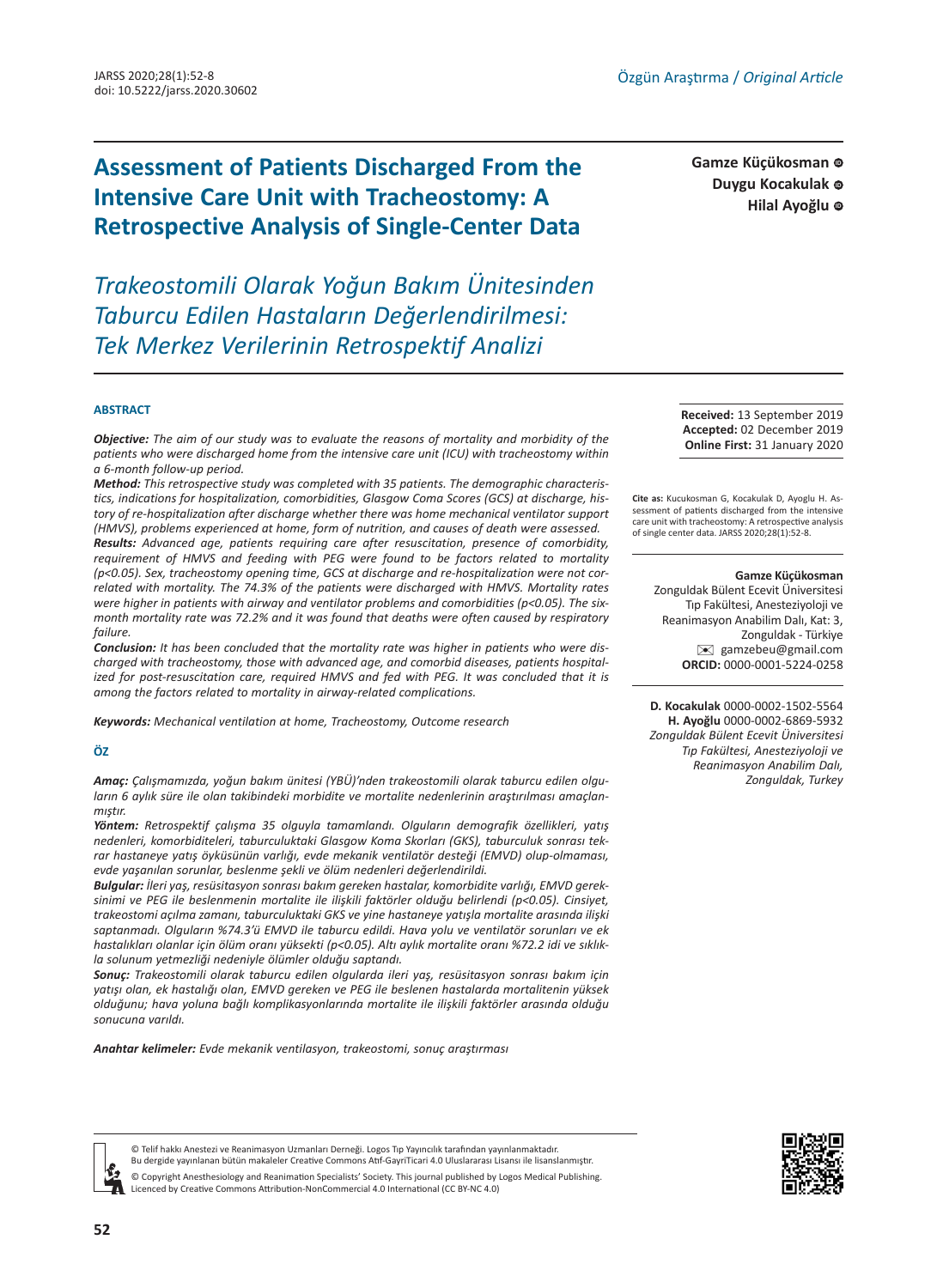# **Assessment of Patients Discharged From the Intensive Care Unit with Tracheostomy: A Retrospective Analysis of Single-Center Data**

*Trakeostomili Olarak Yoğun Bakım Ünitesinden Taburcu Edilen Hastaların Değerlendirilmesi: Tek Merkez Verilerinin Retrospektif Analizi*

**Gamze Küçükosman**  Duygu Kocakulak **c Hilal Ayoğlu** ©

#### **ABSTRACT**

*Objective: The aim of our study was to evaluate the reasons of mortality and morbidity of the patients who were discharged home from the intensive care unit (ICU) with tracheostomy within a 6-month follow-up period.*

*Method: This retrospective study was completed with 35 patients. The demographic characteristics, indications for hospitalization, comorbidities, Glasgow Coma Scores (GCS) at discharge, history of re-hospitalization after discharge whether there was home mechanical ventilator support (HMVS), problems experienced at home, form of nutrition, and causes of death were assessed. Results: Advanced age, patients requiring care after resuscitation, presence of comorbidity, requirement of HMVS and feeding with PEG were found to be factors related to mortality (p<0.05). Sex, tracheostomy opening time, GCS at discharge and re-hospitalization were not correlated with mortality. The 74.3% of the patients were discharged with HMVS. Mortality rates were higher in patients with airway and ventilator problems and comorbidities (p<0.05). The sixmonth mortality rate was 72.2% and it was found that deaths were often caused by respiratory failure.*

*Conclusion: It has been concluded that the mortality rate was higher in patients who were discharged with tracheostomy, those with advanced age, and comorbid diseases, patients hospitalized for post-resuscitation care, required HMVS and fed with PEG. It was concluded that it is among the factors related to mortality in airway-related complications.*

*Keywords: Mechanical ventilation at home, Tracheostomy, Outcome research*

#### **ÖZ**

*Amaç: Çalışmamızda, yoğun bakım ünitesi (YBÜ)'nden trakeostomili olarak taburcu edilen olguların 6 aylık süre ile olan takibindeki morbidite ve mortalite nedenlerinin araştırılması amaçlanmıştır.*

*Yöntem: Retrospektif çalışma 35 olguyla tamamlandı. Olguların demografik özellikleri, yatış nedenleri, komorbiditeleri, taburculuktaki Glasgow Koma Skorları (GKS), taburculuk sonrası tekrar hastaneye yatış öyküsünün varlığı, evde mekanik ventilatör desteği (EMVD) olup-olmaması, evde yaşanılan sorunlar, beslenme şekli ve ölüm nedenleri değerlendirildi.* 

*Bulgular: İleri yaş, resüsitasyon sonrası bakım gereken hastalar, komorbidite varlığı, EMVD gereksinimi ve PEG ile beslenmenin mortalite ile ilişkili faktörler olduğu belirlendi (p<0.05). Cinsiyet, trakeostomi açılma zamanı, taburculuktaki GKS ve yine hastaneye yatışla mortalite arasında ilişki saptanmadı. Olguların %74.3'ü EMVD ile taburcu edildi. Hava yolu ve ventilatör sorunları ve ek hastalıkları olanlar için ölüm oranı yüksekti (p<0.05). Altı aylık mortalite oranı %72.2 idi ve sıklıkla solunum yetmezliği nedeniyle ölümler olduğu saptandı.*

*Sonuç: Trakeostomili olarak taburcu edilen olgularda ileri yaş, resüsitasyon sonrası bakım için yatışı olan, ek hastalığı olan, EMVD gereken ve PEG ile beslenen hastalarda mortalitenin yüksek olduğunu; hava yoluna bağlı komplikasyonlarında mortalite ile ilişkili faktörler arasında olduğu sonucuna varıldı.*

*Anahtar kelimeler: Evde mekanik ventilasyon, trakeostomi, sonuç araştırması*

**Received:** 13 September 2019 **Accepted:** 02 December 2019 **Online First:** 31 January 2020

**Cite as:** Kucukosman G, Kocakulak D, Ayoglu H. Assessment of patients discharged from the intensive care unit with tracheostomy: A retrospective analysis of single center data. JARSS 2020;28(1):52-8.

#### **Gamze Küçükosman**

Zonguldak Bülent Ecevit Üniversitesi Tıp Fakültesi, Anesteziyoloji ve Reanimasyon Anabilim Dalı, Kat: 3, Zonguldak - Türkiye [✉](mailto:gamzebeu@gmail.com) gamzebeu@gmail.com **ORCID:** 0000-0001-5224-0258

**D. Kocakulak** 0000-0002-1502-5564 **H. Ayoğlu** 0000-0002-6869-5932 *Zonguldak Bülent Ecevit Üniversitesi Tıp Fakültesi, Anesteziyoloji ve Reanimasyon Anabilim Dalı, Zonguldak, Turkey*





© Telif hakkı Anestezi ve Reanimasyon Uzmanları Derneği. Logos Tıp Yayıncılık tarafından yayınlanmaktadır. Bu dergide yayınlanan bütün makaleler Creative Commons Atıf-GayriTicari 4.0 Uluslararası Lisansı ile lisanslanmıştır.

© Copyright Anesthesiology and Reanimation Specialists' Society. This journal published by Logos Medical Publishing. Licenced by Creative Commons Attribution-NonCommercial 4.0 International (CC BY-NC 4.0)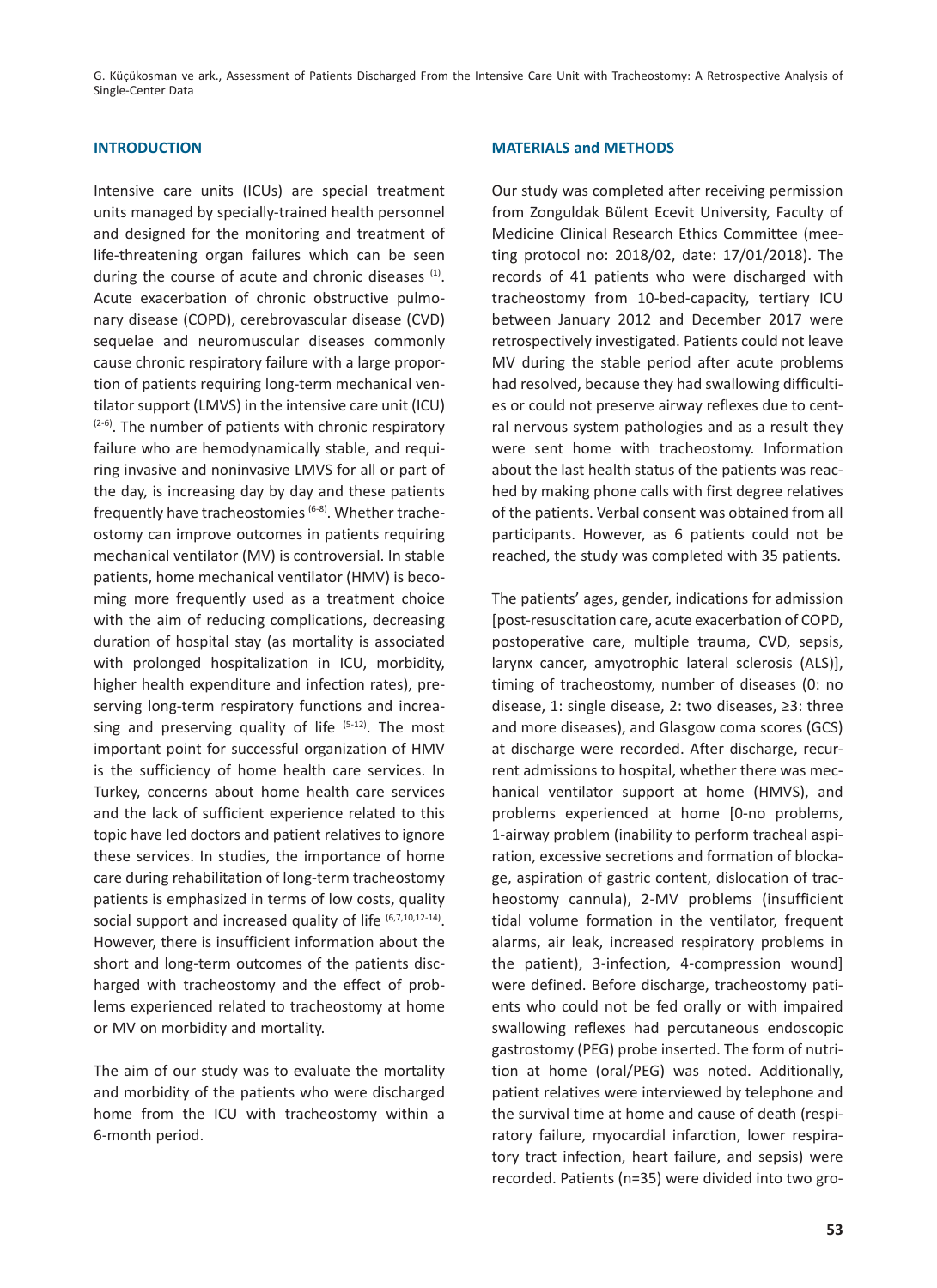G. Küçükosman ve ark., Assessment of Patients Discharged From the Intensive Care Unit with Tracheostomy: A Retrospective Analysis of Single-Center Data

# **INTRODUCTION**

Intensive care units (ICUs) are special treatment units managed by specially-trained health personnel and designed for the monitoring and treatment of life-threatening organ failures which can be seen during the course of acute and chronic diseases (1). Acute exacerbation of chronic obstructive pulmonary disease (COPD), cerebrovascular disease (CVD) sequelae and neuromuscular diseases commonly cause chronic respiratory failure with a large proportion of patients requiring long-term mechanical ventilator support (LMVS) in the intensive care unit (ICU)  $(2-6)$ . The number of patients with chronic respiratory failure who are hemodynamically stable, and requiring invasive and noninvasive LMVS for all or part of the day, is increasing day by day and these patients frequently have tracheostomies (6-8). Whether tracheostomy can improve outcomes in patients requiring mechanical ventilator (MV) is controversial. In stable patients, home mechanical ventilator (HMV) is becoming more frequently used as a treatment choice with the aim of reducing complications, decreasing duration of hospital stay (as mortality is associated with prolonged hospitalization in ICU, morbidity, higher health expenditure and infection rates), preserving long-term respiratory functions and increasing and preserving quality of life  $(5-12)$ . The most important point for successful organization of HMV is the sufficiency of home health care services. In Turkey, concerns about home health care services and the lack of sufficient experience related to this topic have led doctors and patient relatives to ignore these services. In studies, the importance of home care during rehabilitation of long-term tracheostomy patients is emphasized in terms of low costs, quality social support and increased quality of life (6,7,10,12-14). However, there is insufficient information about the short and long-term outcomes of the patients discharged with tracheostomy and the effect of problems experienced related to tracheostomy at home or MV on morbidity and mortality.

The aim of our study was to evaluate the mortality and morbidity of the patients who were discharged home from the ICU with tracheostomy within a 6-month period.

# **MATERIALS and METHODS**

Our study was completed after receiving permission from Zonguldak Bülent Ecevit University, Faculty of Medicine Clinical Research Ethics Committee (meeting protocol no: 2018/02, date: 17/01/2018). The records of 41 patients who were discharged with tracheostomy from 10-bed-capacity, tertiary ICU between January 2012 and December 2017 were retrospectively investigated. Patients could not leave MV during the stable period after acute problems had resolved, because they had swallowing difficulties or could not preserve airway reflexes due to central nervous system pathologies and as a result they were sent home with tracheostomy. Information about the last health status of the patients was reached by making phone calls with first degree relatives of the patients. Verbal consent was obtained from all participants. However, as 6 patients could not be reached, the study was completed with 35 patients.

The patients' ages, gender, indications for admission [post-resuscitation care, acute exacerbation of COPD, postoperative care, multiple trauma, CVD, sepsis, larynx cancer, amyotrophic lateral sclerosis (ALS)], timing of tracheostomy, number of diseases (0: no disease, 1: single disease, 2: two diseases, ≥3: three and more diseases), and Glasgow coma scores (GCS) at discharge were recorded. After discharge, recurrent admissions to hospital, whether there was mechanical ventilator support at home (HMVS), and problems experienced at home [0-no problems, 1-airway problem (inability to perform tracheal aspiration, excessive secretions and formation of blockage, aspiration of gastric content, dislocation of tracheostomy cannula), 2-MV problems (insufficient tidal volume formation in the ventilator, frequent alarms, air leak, increased respiratory problems in the patient), 3-infection, 4-compression wound] were defined. Before discharge, tracheostomy patients who could not be fed orally or with impaired swallowing reflexes had percutaneous endoscopic gastrostomy (PEG) probe inserted. The form of nutrition at home (oral/PEG) was noted. Additionally, patient relatives were interviewed by telephone and the survival time at home and cause of death (respiratory failure, myocardial infarction, lower respiratory tract infection, heart failure, and sepsis) were recorded. Patients (n=35) were divided into two gro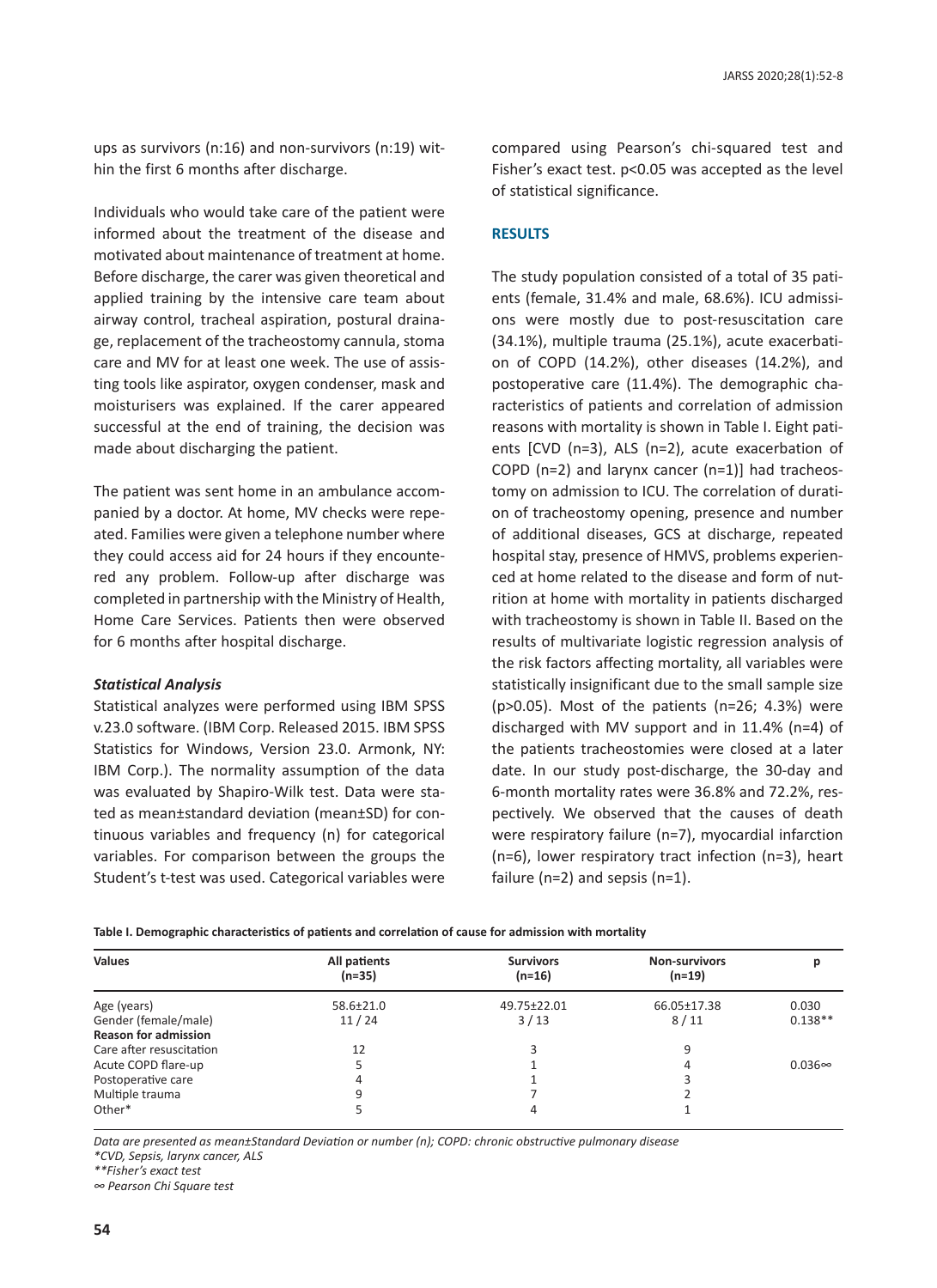ups as survivors (n:16) and non-survivors (n:19) within the first 6 months after discharge.

Individuals who would take care of the patient were informed about the treatment of the disease and motivated about maintenance of treatment at home. Before discharge, the carer was given theoretical and applied training by the intensive care team about airway control, tracheal aspiration, postural drainage, replacement of the tracheostomy cannula, stoma care and MV for at least one week. The use of assisting tools like aspirator, oxygen condenser, mask and moisturisers was explained. If the carer appeared successful at the end of training, the decision was made about discharging the patient.

The patient was sent home in an ambulance accompanied by a doctor. At home, MV checks were repeated. Families were given a telephone number where they could access aid for 24 hours if they encountered any problem. Follow-up after discharge was completed in partnership with the Ministry of Health, Home Care Services. Patients then were observed for 6 months after hospital discharge.

#### *Statistical Analysis*

Statistical analyzes were performed using IBM SPSS v.23.0 software. (IBM Corp. Released 2015. IBM SPSS Statistics for Windows, Version 23.0. Armonk, NY: IBM Corp.). The normality assumption of the data was evaluated by Shapiro-Wilk test. Data were stated as mean±standard deviation (mean±SD) for continuous variables and frequency (n) for categorical variables. For comparison between the groups the Student's t-test was used. Categorical variables were

compared using Pearson's chi-squared test and Fisher's exact test. p<0.05 was accepted as the level of statistical significance.

## **RESULTS**

The study population consisted of a total of 35 patients (female, 31.4% and male, 68.6%). ICU admissions were mostly due to post-resuscitation care (34.1%), multiple trauma (25.1%), acute exacerbation of COPD (14.2%), other diseases (14.2%), and postoperative care (11.4%). The demographic characteristics of patients and correlation of admission reasons with mortality is shown in Table I. Eight patients [CVD (n=3), ALS (n=2), acute exacerbation of COPD (n=2) and larynx cancer (n=1)] had tracheostomy on admission to ICU. The correlation of duration of tracheostomy opening, presence and number of additional diseases, GCS at discharge, repeated hospital stay, presence of HMVS, problems experienced at home related to the disease and form of nutrition at home with mortality in patients discharged with tracheostomy is shown in Table II. Based on the results of multivariate logistic regression analysis of the risk factors affecting mortality, all variables were statistically insignificant due to the small sample size (p>0.05). Most of the patients (n=26; 4.3%) were discharged with MV support and in 11.4% (n=4) of the patients tracheostomies were closed at a later date. In our study post-discharge, the 30-day and 6-month mortality rates were 36.8% and 72.2%, respectively. We observed that the causes of death were respiratory failure (n=7), myocardial infarction (n=6), lower respiratory tract infection (n=3), heart failure (n=2) and sepsis (n=1).

**Table I. Demographic characteristics of patients and correlation of cause for admission with mortality**

| <b>Values</b>               | All patients<br>$(n=35)$ | <b>Survivors</b><br>$(n=16)$ | <b>Non-survivors</b><br>$(n=19)$ |               |
|-----------------------------|--------------------------|------------------------------|----------------------------------|---------------|
| Age (years)                 | $58.6 \pm 21.0$          | 49.75±22.01                  | 66.05±17.38                      | 0.030         |
| Gender (female/male)        | 11/24                    | 3/13                         | 8/11                             | $0.138**$     |
| <b>Reason for admission</b> |                          |                              |                                  |               |
| Care after resuscitation    | 12                       |                              | 9                                |               |
| Acute COPD flare-up         |                          |                              |                                  | $0.036\infty$ |
| Postoperative care          | 4                        |                              |                                  |               |
| Multiple trauma             | 9                        |                              |                                  |               |
| Other*                      |                          | 4                            |                                  |               |

*Data are presented as mean±Standard Deviation or number (n); COPD: chronic obstructive pulmonary disease*

*\*CVD, Sepsis, larynx cancer, ALS*

*\*\*Fisher's exact test*

*∞ Pearson Chi Square test*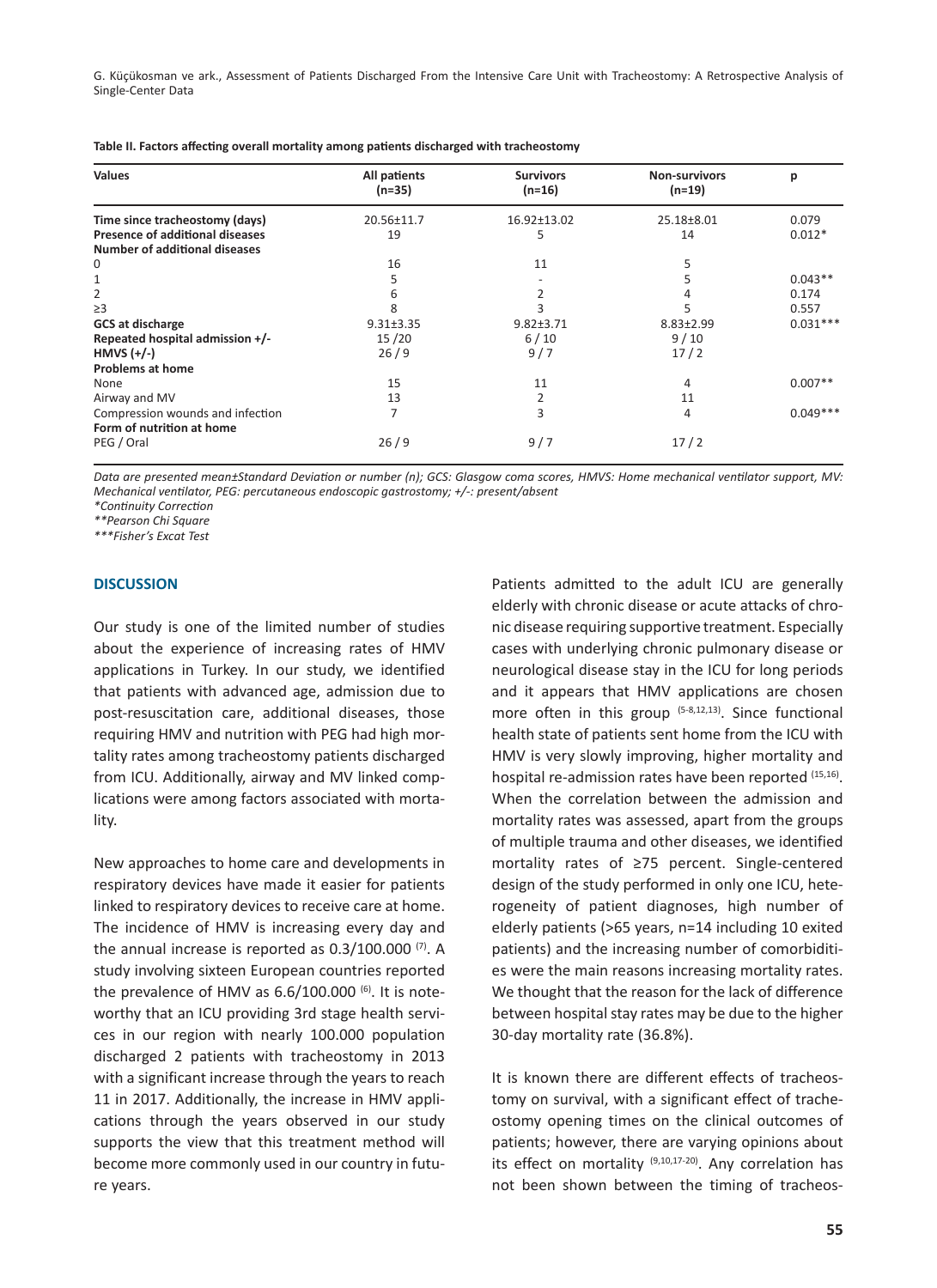G. Küçükosman ve ark., Assessment of Patients Discharged From the Intensive Care Unit with Tracheostomy: A Retrospective Analysis of Single-Center Data

| <b>Values</b>                          | All patients<br>$(n=35)$ | <b>Survivors</b><br>$(n=16)$ | <b>Non-survivors</b><br>(n=19) | р          |
|----------------------------------------|--------------------------|------------------------------|--------------------------------|------------|
| Time since tracheostomy (days)         | 20.56±11.7               | 16.92±13.02                  | 25.18±8.01                     | 0.079      |
| <b>Presence of additional diseases</b> | 19                       | 5                            | 14                             | $0.012*$   |
| <b>Number of additional diseases</b>   |                          |                              |                                |            |
| 0                                      | 16                       | 11                           |                                |            |
|                                        | 5                        |                              |                                | $0.043**$  |
| 2                                      | 6                        |                              |                                | 0.174      |
| $\geq$ 3                               | 8                        |                              |                                | 0.557      |
| <b>GCS at discharge</b>                | $9.31 \pm 3.35$          | $9.82 \pm 3.71$              | $8.83 \pm 2.99$                | $0.031***$ |
| Repeated hospital admission +/-        | 15/20                    | $6/10$                       | 9/10                           |            |
| HMVS $(+/-)$                           | 26/9                     | 9/7                          | 17/2                           |            |
| <b>Problems at home</b>                |                          |                              |                                |            |
| None                                   | 15                       | 11                           | 4                              | $0.007**$  |
| Airway and MV                          | 13                       |                              | 11                             |            |
| Compression wounds and infection       | 7                        | 3                            | 4                              | $0.049***$ |
| Form of nutrition at home              |                          |                              |                                |            |
| PEG / Oral                             | 26/9                     | 9/7                          | 17/2                           |            |

*Data are presented mean±Standard Deviation or number (n); GCS: Glasgow coma scores, HMVS: Home mechanical ventilator support, MV: Mechanical ventilator, PEG: percutaneous endoscopic gastrostomy; +/-: present/absent*

*\*Continuity Correction*

*\*\*Pearson Chi Square*

*\*\*\*Fisher's Excat Test*

### **DISCUSSION**

Our study is one of the limited number of studies about the experience of increasing rates of HMV applications in Turkey. In our study, we identified that patients with advanced age, admission due to post-resuscitation care, additional diseases, those requiring HMV and nutrition with PEG had high mortality rates among tracheostomy patients discharged from ICU. Additionally, airway and MV linked complications were among factors associated with mortality.

New approaches to home care and developments in respiratory devices have made it easier for patients linked to respiratory devices to receive care at home. The incidence of HMV is increasing every day and the annual increase is reported as 0.3/100.000<sup>(7)</sup>. A study involving sixteen European countries reported the prevalence of HMV as  $6.6/100.000^{(6)}$ . It is noteworthy that an ICU providing 3rd stage health services in our region with nearly 100.000 population discharged 2 patients with tracheostomy in 2013 with a significant increase through the years to reach 11 in 2017. Additionally, the increase in HMV applications through the years observed in our study supports the view that this treatment method will become more commonly used in our country in future years.

Patients admitted to the adult ICU are generally elderly with chronic disease or acute attacks of chronic disease requiring supportive treatment. Especially cases with underlying chronic pulmonary disease or neurological disease stay in the ICU for long periods and it appears that HMV applications are chosen more often in this group  $(5-8,12,13)$ . Since functional health state of patients sent home from the ICU with HMV is very slowly improving, higher mortality and hospital re-admission rates have been reported (15,16). When the correlation between the admission and mortality rates was assessed, apart from the groups of multiple trauma and other diseases, we identified mortality rates of ≥75 percent. Single-centered design of the study performed in only one ICU, heterogeneity of patient diagnoses, high number of elderly patients (>65 years, n=14 including 10 exited patients) and the increasing number of comorbidities were the main reasons increasing mortality rates. We thought that the reason for the lack of difference between hospital stay rates may be due to the higher 30-day mortality rate (36.8%).

It is known there are different effects of tracheostomy on survival, with a significant effect of tracheostomy opening times on the clinical outcomes of patients; however, there are varying opinions about its effect on mortality  $(9,10,17-20)$ . Any correlation has not been shown between the timing of tracheos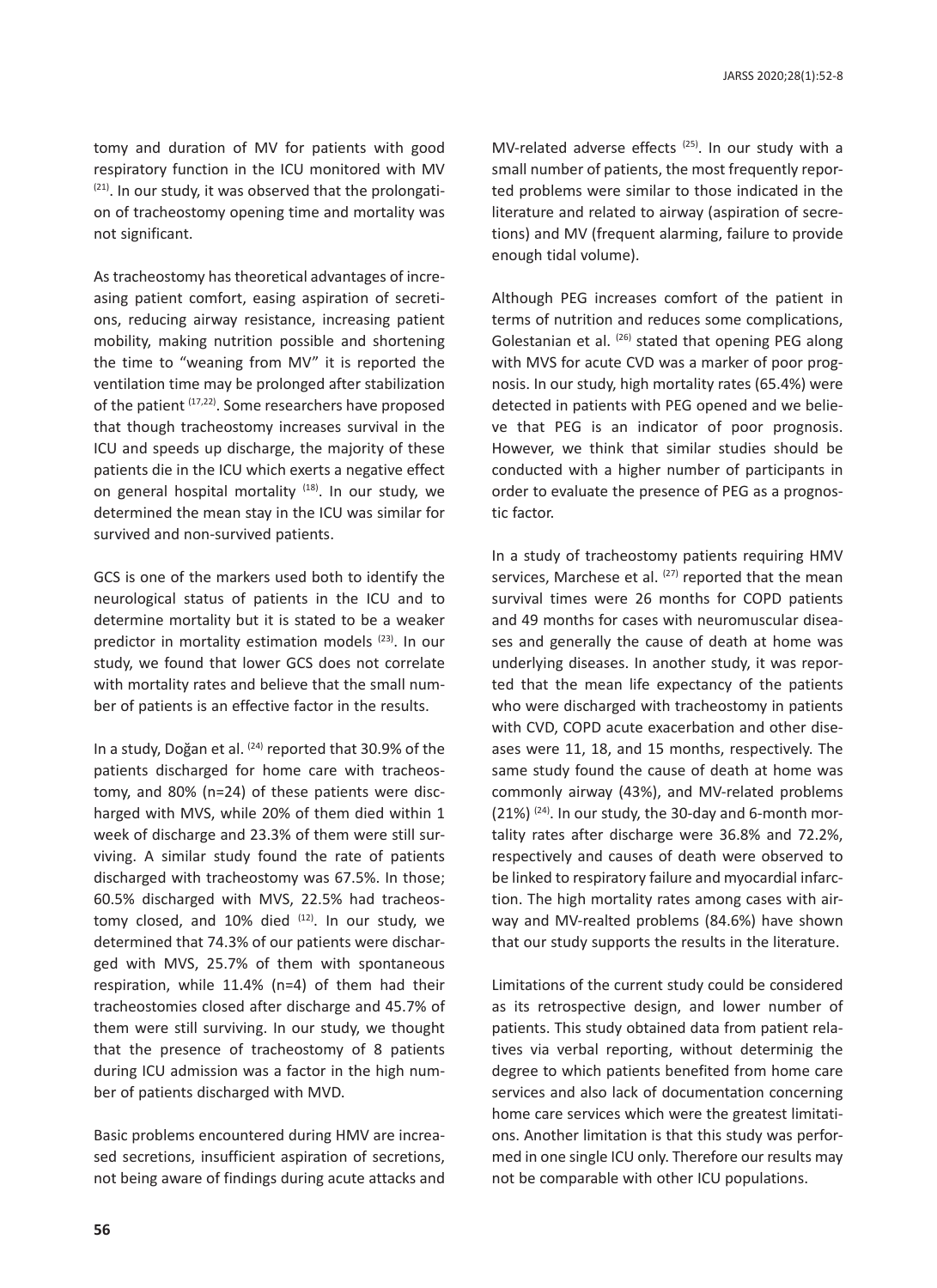tomy and duration of MV for patients with good respiratory function in the ICU monitored with MV  $(21)$ . In our study, it was observed that the prolongation of tracheostomy opening time and mortality was not significant.

As tracheostomy has theoretical advantages of increasing patient comfort, easing aspiration of secretions, reducing airway resistance, increasing patient mobility, making nutrition possible and shortening the time to "weaning from MV" it is reported the ventilation time may be prolonged after stabilization of the patient (17,22). Some researchers have proposed that though tracheostomy increases survival in the ICU and speeds up discharge, the majority of these patients die in the ICU which exerts a negative effect on general hospital mortality <sup>(18)</sup>. In our study, we determined the mean stay in the ICU was similar for survived and non-survived patients.

GCS is one of the markers used both to identify the neurological status of patients in the ICU and to determine mortality but it is stated to be a weaker predictor in mortality estimation models (23). In our study, we found that lower GCS does not correlate with mortality rates and believe that the small number of patients is an effective factor in the results.

In a study, Doğan et al. <sup>(24)</sup> reported that 30.9% of the patients discharged for home care with tracheostomy, and 80% (n=24) of these patients were discharged with MVS, while 20% of them died within 1 week of discharge and 23.3% of them were still surviving. A similar study found the rate of patients discharged with tracheostomy was 67.5%. In those; 60.5% discharged with MVS, 22.5% had tracheostomy closed, and  $10\%$  died  $(12)$ . In our study, we determined that 74.3% of our patients were discharged with MVS, 25.7% of them with spontaneous respiration, while 11.4% (n=4) of them had their tracheostomies closed after discharge and 45.7% of them were still surviving. In our study, we thought that the presence of tracheostomy of 8 patients during ICU admission was a factor in the high number of patients discharged with MVD.

Basic problems encountered during HMV are increased secretions, insufficient aspiration of secretions, not being aware of findings during acute attacks and MV-related adverse effects<sup>(25)</sup>. In our study with a small number of patients, the most frequently reported problems were similar to those indicated in the literature and related to airway (aspiration of secretions) and MV (frequent alarming, failure to provide enough tidal volume).

Although PEG increases comfort of the patient in terms of nutrition and reduces some complications, Golestanian et al. (26) stated that opening PEG along with MVS for acute CVD was a marker of poor prognosis. In our study, high mortality rates (65.4%) were detected in patients with PEG opened and we believe that PEG is an indicator of poor prognosis. However, we think that similar studies should be conducted with a higher number of participants in order to evaluate the presence of PEG as a prognostic factor.

In a study of tracheostomy patients requiring HMV services, Marchese et al. (27) reported that the mean survival times were 26 months for COPD patients and 49 months for cases with neuromuscular diseases and generally the cause of death at home was underlying diseases. In another study, it was reported that the mean life expectancy of the patients who were discharged with tracheostomy in patients with CVD, COPD acute exacerbation and other diseases were 11, 18, and 15 months, respectively. The same study found the cause of death at home was commonly airway (43%), and MV-related problems  $(21\%)$  (24). In our study, the 30-day and 6-month mortality rates after discharge were 36.8% and 72.2%, respectively and causes of death were observed to be linked to respiratory failure and myocardial infarction. The high mortality rates among cases with airway and MV-realted problems (84.6%) have shown that our study supports the results in the literature.

Limitations of the current study could be considered as its retrospective design, and lower number of patients. This study obtained data from patient relatives via verbal reporting, without determinig the degree to which patients benefited from home care services and also lack of documentation concerning home care services which were the greatest limitations. Another limitation is that this study was performed in one single ICU only. Therefore our results may not be comparable with other ICU populations.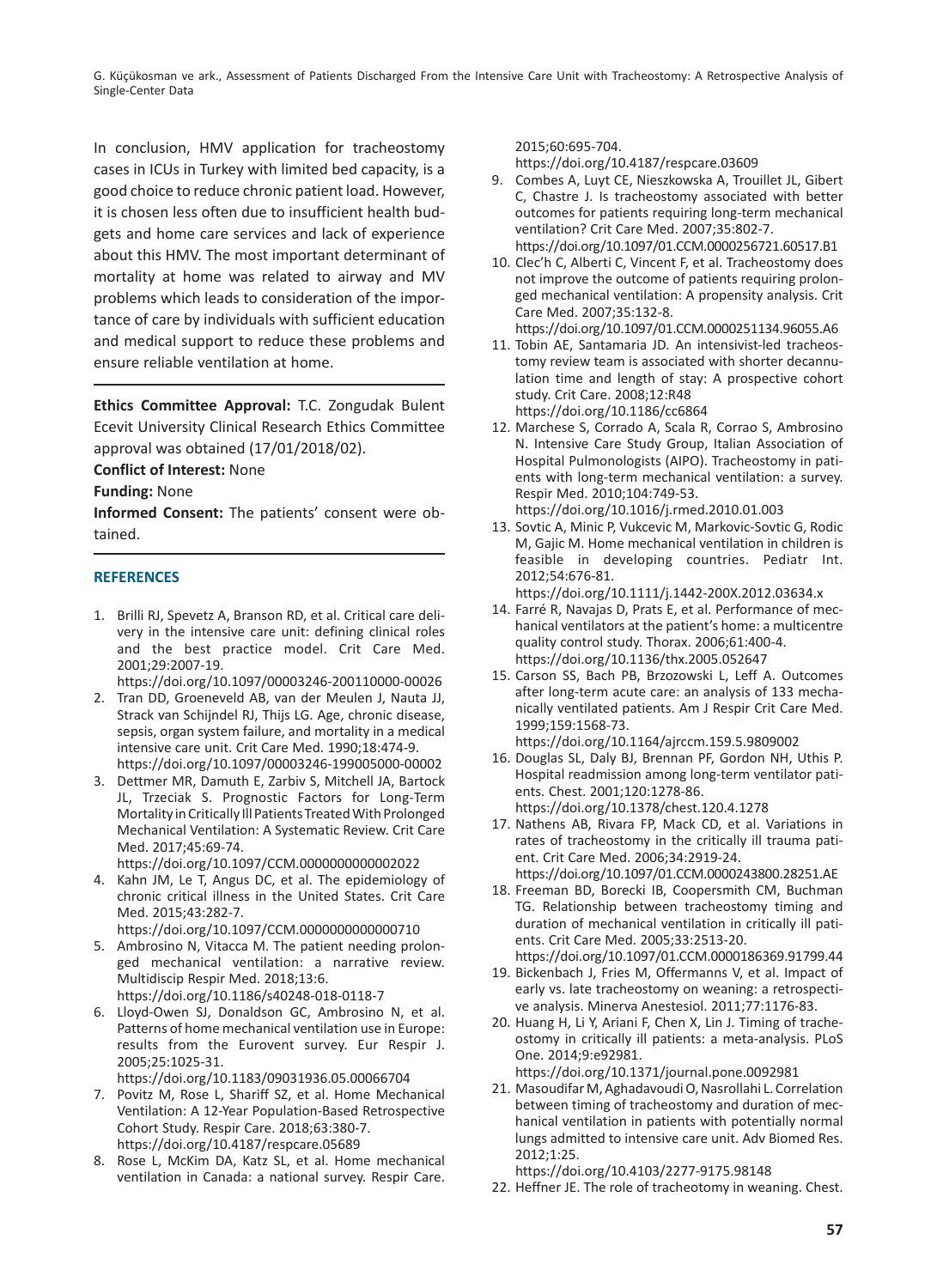G. Küçükosman ve ark., Assessment of Patients Discharged From the Intensive Care Unit with Tracheostomy: A Retrospective Analysis of Single-Center Data

In conclusion, HMV application for tracheostomy cases in ICUs in Turkey with limited bed capacity, is a good choice to reduce chronic patient load. However, it is chosen less often due to insufficient health budgets and home care services and lack of experience about this HMV. The most important determinant of mortality at home was related to airway and MV problems which leads to consideration of the importance of care by individuals with sufficient education and medical support to reduce these problems and ensure reliable ventilation at home.

**Ethics Committee Approval:** T.C. Zongudak Bulent Ecevit University Clinical Research Ethics Committee approval was obtained (17/01/2018/02).

**Conflict of Interest:** None

**Funding:** None

**Informed Consent:** The patients' consent were obtained.

# **REFERENCES**

1. Brilli RJ, Spevetz A, Branson RD, et al. Critical care delivery in the intensive care unit: defining clinical roles and the best practice model. Crit Care Med. 2001;29:2007-19.

https://doi.org/10.1097/00003246-200110000-00026

- 2. Tran DD, Groeneveld AB, van der Meulen J, Nauta JJ, Strack van Schijndel RJ, Thijs LG. Age, chronic disease, sepsis, organ system failure, and mortality in a medical intensive care unit. Crit Care Med. 1990;18:474-9. https://doi.org/10.1097/00003246-199005000-00002
- 3. Dettmer MR, Damuth E, Zarbiv S, Mitchell JA, Bartock JL, Trzeciak S. Prognostic Factors for Long-Term Mortality in Critically Ill Patients Treated With Prolonged Mechanical Ventilation: A Systematic Review. Crit Care Med. 2017;45:69-74.

https://doi.org/10.1097/CCM.0000000000002022

4. Kahn JM, Le T, Angus DC, et al. The epidemiology of chronic critical illness in the United States. Crit Care Med. 2015;43:282-7.

https://doi.org/10.1097/CCM.0000000000000710 5. Ambrosino N, Vitacca M. The patient needing prolon-

- ged mechanical ventilation: a narrative review. Multidiscip Respir Med. 2018;13:6. https://doi.org/10.1186/s40248-018-0118-7
- 6. Lloyd-Owen SJ, Donaldson GC, Ambrosino N, et al. Patterns of home mechanical ventilation use in Europe: results from the Eurovent survey. Eur Respir J. 2005;25:1025-31.

https://doi.org/10.1183/09031936.05.00066704

- 7. Povitz M, Rose L, Shariff SZ, et al. Home Mechanical Ventilation: A 12-Year Population-Based Retrospective Cohort Study. Respir Care. 2018;63:380-7. https://doi.org/10.4187/respcare.05689
- 8. Rose L, McKim DA, Katz SL, et al. Home mechanical ventilation in Canada: a national survey. Respir Care.

2015;60:695-704.

https://doi.org/10.4187/respcare.03609

- 9. Combes A, Luyt CE, Nieszkowska A, Trouillet JL, Gibert C, Chastre J. Is tracheostomy associated with better outcomes for patients requiring long-term mechanical ventilation? Crit Care Med. 2007;35:802-7. https://doi.org/10.1097/01.CCM.0000256721.60517.B1
- 10. Clec'h C, Alberti C, Vincent F, et al. Tracheostomy does not improve the outcome of patients requiring prolonged mechanical ventilation: A propensity analysis. Crit Care Med. 2007;35:132-8.

https://doi.org/10.1097/01.CCM.0000251134.96055.A6

- 11. Tobin AE, Santamaria JD. An intensivist-led tracheostomy review team is associated with shorter decannulation time and length of stay: A prospective cohort study. Crit Care. 2008;12:R48 https://doi.org/10.1186/cc6864
- 12. Marchese S, Corrado A, Scala R, Corrao S, Ambrosino N. Intensive Care Study Group, Italian Association of Hospital Pulmonologists (AIPO). Tracheostomy in patients with long-term mechanical ventilation: a survey. Respir Med. 2010;104:749-53. https://doi.org/10.1016/j.rmed.2010.01.003
- 13. Sovtic A, Minic P, Vukcevic M, Markovic-Sovtic G, Rodic M, Gajic M. Home mechanical ventilation in children is feasible in developing countries. Pediatr Int. 2012;54:676-81.

https://doi.org/10.1111/j.1442-200X.2012.03634.x 14. Farré R, Navajas D, Prats E, et al. Performance of mechanical ventilators at the patient's home: a multicentre quality control study. Thorax. 2006;61:400-4. https://doi.org/10.1136/thx.2005.052647

15. Carson SS, Bach PB, Brzozowski L, Leff A. Outcomes after long-term acute care: an analysis of 133 mechanically ventilated patients. Am J Respir Crit Care Med. 1999;159:1568-73.

https://doi.org/10.1164/ajrccm.159.5.9809002

- 16. Douglas SL, Daly BJ, Brennan PF, Gordon NH, Uthis P. Hospital readmission among long-term ventilator patients. Chest. 2001;120:1278-86. https://doi.org/10.1378/chest.120.4.1278
- 17. Nathens AB, Rivara FP, Mack CD, et al. Variations in rates of tracheostomy in the critically ill trauma patient. Crit Care Med. 2006;34:2919-24. https://doi.org/10.1097/01.CCM.0000243800.28251.AE

18. Freeman BD, Borecki IB, Coopersmith CM, Buchman TG. Relationship between tracheostomy timing and duration of mechanical ventilation in critically ill patients. Crit Care Med. 2005;33:2513-20. https://doi.org/10.1097/01.CCM.0000186369.91799.44

- 19. Bickenbach J, Fries M, Offermanns V, et al. Impact of early vs. late tracheostomy on weaning: a retrospective analysis. Minerva Anestesiol. 2011;77:1176-83.
- 20. Huang H, Li Y, Ariani F, Chen X, Lin J. Timing of tracheostomy in critically ill patients: a meta-analysis. PLoS One. 2014;9:e92981.

https://doi.org/10.1371/journal.pone.0092981

21. Masoudifar M, Aghadavoudi O, Nasrollahi L. Correlation between timing of tracheostomy and duration of mechanical ventilation in patients with potentially normal lungs admitted to intensive care unit. Adv Biomed Res. 2012;1:25.

https://doi.org/10.4103/2277-9175.98148

22. Heffner JE. The role of tracheotomy in weaning. Chest.